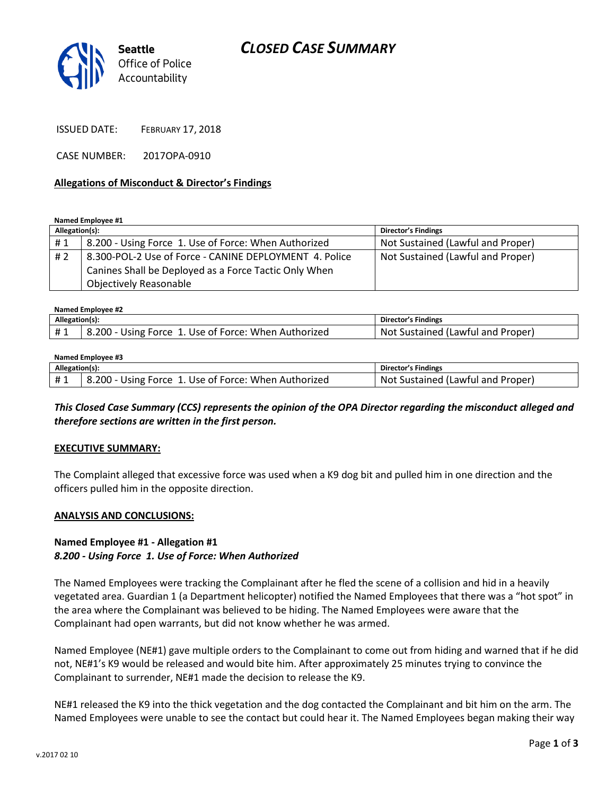



ISSUED DATE: FEBRUARY 17, 2018

CASE NUMBER: 2017OPA-0910

### **Allegations of Misconduct & Director's Findings**

**Named Employee #1**

| Allegation(s): |                                                        | Director's Findings               |
|----------------|--------------------------------------------------------|-----------------------------------|
| #1             | 8.200 - Using Force 1. Use of Force: When Authorized   | Not Sustained (Lawful and Proper) |
| #2             | 8.300-POL-2 Use of Force - CANINE DEPLOYMENT 4. Police | Not Sustained (Lawful and Proper) |
|                | Canines Shall be Deployed as a Force Tactic Only When  |                                   |
|                | <b>Objectively Reasonable</b>                          |                                   |

| Named Employee #2 |                                                      |                                   |  |  |
|-------------------|------------------------------------------------------|-----------------------------------|--|--|
| Allegation(s):    |                                                      | Director's Findings               |  |  |
| #1                | 8.200 - Using Force 1. Use of Force: When Authorized | Not Sustained (Lawful and Proper) |  |  |

#### **Named Employee #3**

| Allegation(s): |                                                      | <b>Director's Findings</b>                 |
|----------------|------------------------------------------------------|--------------------------------------------|
|                | d.200 - Using Force 1. Use of Force: When Authorized | . Not '<br>: Sustained (Lawful and Proper) |

# *This Closed Case Summary (CCS) represents the opinion of the OPA Director regarding the misconduct alleged and therefore sections are written in the first person.*

### **EXECUTIVE SUMMARY:**

The Complaint alleged that excessive force was used when a K9 dog bit and pulled him in one direction and the officers pulled him in the opposite direction.

### **ANALYSIS AND CONCLUSIONS:**

# **Named Employee #1 - Allegation #1** *8.200 - Using Force 1. Use of Force: When Authorized*

The Named Employees were tracking the Complainant after he fled the scene of a collision and hid in a heavily vegetated area. Guardian 1 (a Department helicopter) notified the Named Employees that there was a "hot spot" in the area where the Complainant was believed to be hiding. The Named Employees were aware that the Complainant had open warrants, but did not know whether he was armed.

Named Employee (NE#1) gave multiple orders to the Complainant to come out from hiding and warned that if he did not, NE#1's K9 would be released and would bite him. After approximately 25 minutes trying to convince the Complainant to surrender, NE#1 made the decision to release the K9.

NE#1 released the K9 into the thick vegetation and the dog contacted the Complainant and bit him on the arm. The Named Employees were unable to see the contact but could hear it. The Named Employees began making their way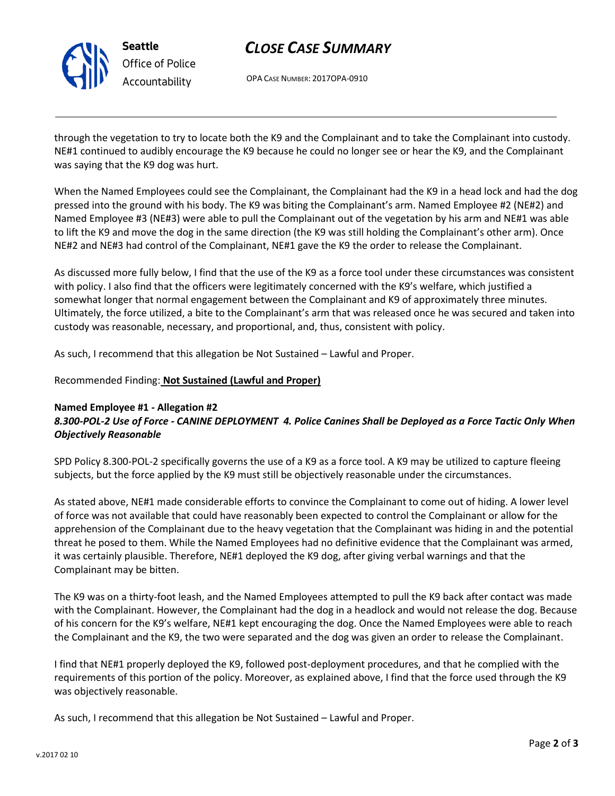

**Seattle** *Office of Police Accountability*

# *CLOSE CASE SUMMARY*

OPA CASE NUMBER: 2017OPA-0910

through the vegetation to try to locate both the K9 and the Complainant and to take the Complainant into custody. NE#1 continued to audibly encourage the K9 because he could no longer see or hear the K9, and the Complainant was saying that the K9 dog was hurt.

When the Named Employees could see the Complainant, the Complainant had the K9 in a head lock and had the dog pressed into the ground with his body. The K9 was biting the Complainant's arm. Named Employee #2 (NE#2) and Named Employee #3 (NE#3) were able to pull the Complainant out of the vegetation by his arm and NE#1 was able to lift the K9 and move the dog in the same direction (the K9 was still holding the Complainant's other arm). Once NE#2 and NE#3 had control of the Complainant, NE#1 gave the K9 the order to release the Complainant.

As discussed more fully below, I find that the use of the K9 as a force tool under these circumstances was consistent with policy. I also find that the officers were legitimately concerned with the K9's welfare, which justified a somewhat longer that normal engagement between the Complainant and K9 of approximately three minutes. Ultimately, the force utilized, a bite to the Complainant's arm that was released once he was secured and taken into custody was reasonable, necessary, and proportional, and, thus, consistent with policy.

As such, I recommend that this allegation be Not Sustained – Lawful and Proper.

# Recommended Finding: **Not Sustained (Lawful and Proper)**

### **Named Employee #1 - Allegation #2** *8.300-POL-2 Use of Force - CANINE DEPLOYMENT 4. Police Canines Shall be Deployed as a Force Tactic Only When Objectively Reasonable*

SPD Policy 8.300-POL-2 specifically governs the use of a K9 as a force tool. A K9 may be utilized to capture fleeing subjects, but the force applied by the K9 must still be objectively reasonable under the circumstances.

As stated above, NE#1 made considerable efforts to convince the Complainant to come out of hiding. A lower level of force was not available that could have reasonably been expected to control the Complainant or allow for the apprehension of the Complainant due to the heavy vegetation that the Complainant was hiding in and the potential threat he posed to them. While the Named Employees had no definitive evidence that the Complainant was armed, it was certainly plausible. Therefore, NE#1 deployed the K9 dog, after giving verbal warnings and that the Complainant may be bitten.

The K9 was on a thirty-foot leash, and the Named Employees attempted to pull the K9 back after contact was made with the Complainant. However, the Complainant had the dog in a headlock and would not release the dog. Because of his concern for the K9's welfare, NE#1 kept encouraging the dog. Once the Named Employees were able to reach the Complainant and the K9, the two were separated and the dog was given an order to release the Complainant.

I find that NE#1 properly deployed the K9, followed post-deployment procedures, and that he complied with the requirements of this portion of the policy. Moreover, as explained above, I find that the force used through the K9 was objectively reasonable.

As such, I recommend that this allegation be Not Sustained – Lawful and Proper.